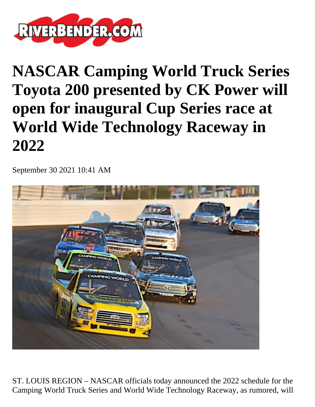

**NASCAR Camping World Truck Series Toyota 200 presented by CK Power will open for inaugural Cup Series race at World Wide Technology Raceway in 2022**

September 30 2021 10:41 AM



ST. LOUIS REGION – NASCAR officials today announced the 2022 schedule for the Camping World Truck Series and World Wide Technology Raceway, as rumored, will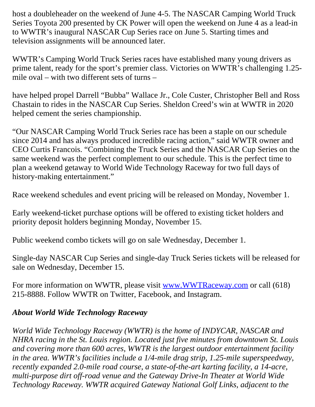host a doubleheader on the weekend of June 4-5. The NASCAR Camping World Truck Series Toyota 200 presented by CK Power will open the weekend on June 4 as a lead-in to WWTR's inaugural NASCAR Cup Series race on June 5. Starting times and television assignments will be announced later.

WWTR's Camping World Truck Series races have established many young drivers as prime talent, ready for the sport's premier class. Victories on WWTR's challenging 1.25 mile oval – with two different sets of turns –

have helped propel Darrell "Bubba" Wallace Jr., Cole Custer, Christopher Bell and Ross Chastain to rides in the NASCAR Cup Series. Sheldon Creed's win at WWTR in 2020 helped cement the series championship.

"Our NASCAR Camping World Truck Series race has been a staple on our schedule since 2014 and has always produced incredible racing action," said WWTR owner and CEO Curtis Francois. "Combining the Truck Series and the NASCAR Cup Series on the same weekend was the perfect complement to our schedule. This is the perfect time to plan a weekend getaway to World Wide Technology Raceway for two full days of history-making entertainment."

Race weekend schedules and event pricing will be released on Monday, November 1.

Early weekend-ticket purchase options will be offered to existing ticket holders and priority deposit holders beginning Monday, November 15.

Public weekend combo tickets will go on sale Wednesday, December 1.

Single-day NASCAR Cup Series and single-day Truck Series tickets will be released for sale on Wednesday, December 15.

For more information on WWTR, please visit [www.WWTRaceway.com](http://www.wwtraceway.com/) or call (618) 215-8888. Follow WWTR on Twitter, Facebook, and Instagram.

## *About World Wide Technology Raceway*

*World Wide Technology Raceway (WWTR) is the home of INDYCAR, NASCAR and NHRA racing in the St. Louis region. Located just five minutes from downtown St. Louis and covering more than 600 acres, WWTR is the largest outdoor entertainment facility in the area. WWTR's facilities include a 1/4-mile drag strip, 1.25-mile superspeedway, recently expanded 2.0-mile road course, a state-of-the-art karting facility, a 14-acre, multi-purpose dirt off-road venue and the Gateway Drive-In Theater at World Wide Technology Raceway. WWTR acquired Gateway National Golf Links, adjacent to the*